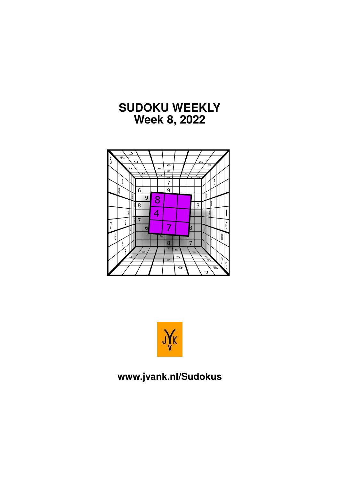





#### **www.jvank.nl/Sudokus**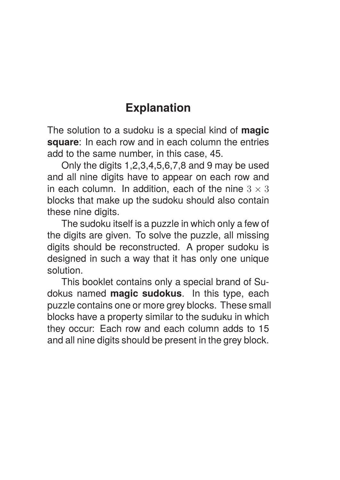#### **Explanation**

The solution to a sudoku is a special kind of **magic square**: In each row and in each column the entries add to the same number, in this case, 45.

Only the digits 1,2,3,4,5,6,7,8 and 9 may be used and all nine digits have to appear on each row and in each column. In addition, each of the nine  $3 \times 3$ blocks that make up the sudoku should also contain these nine digits.

The sudoku itself is a puzzle in which only a few of the digits are given. To solve the puzzle, all missing digits should be reconstructed. A proper sudoku is designed in such a way that it has only one unique solution.

This booklet contains only a special brand of Sudokus named **magic sudokus**. In this type, each puzzle contains one or more grey blocks. These small blocks have a property similar to the suduku in which they occur: Each row and each column adds to 15 and all nine digits should be present in the grey block.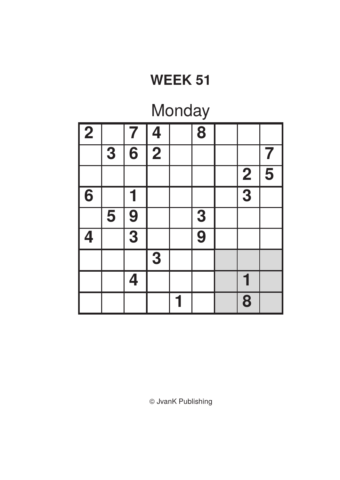## Monday

| $\sqrt{2}$ |   | $\overline{\mathbf{7}}$   | 4                       | 8              |                         |                     |
|------------|---|---------------------------|-------------------------|----------------|-------------------------|---------------------|
|            | 3 | $\overline{\mathbf{6}}$   | $\overline{\mathbf{2}}$ |                |                         |                     |
|            |   |                           |                         |                | $\overline{\mathbf{2}}$ | $\overline{\bf{5}}$ |
| 6          |   |                           |                         |                | $\overline{3}$          |                     |
|            | 5 | 9                         |                         | 3              |                         |                     |
| 4          |   | $\overline{\overline{3}}$ |                         | $\overline{9}$ |                         |                     |
|            |   |                           | 3                       |                |                         |                     |
|            |   | 4                         |                         |                |                         |                     |
|            |   |                           |                         |                | 8                       |                     |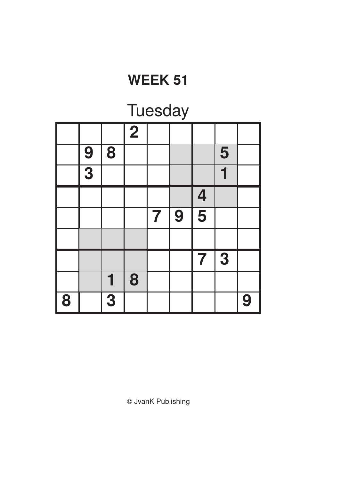### **Tuesday**

|   |               |                         | $\overline{2}$ |                         |   |                         |   |   |
|---|---------------|-------------------------|----------------|-------------------------|---|-------------------------|---|---|
|   | $\frac{9}{3}$ | 8                       |                |                         |   |                         | 5 |   |
|   |               |                         |                |                         |   |                         |   |   |
|   |               |                         |                |                         |   | $\overline{\mathbf{4}}$ |   |   |
|   |               |                         |                | $\overline{\mathbf{7}}$ | 9 | $\overline{\bf{5}}$     |   |   |
|   |               |                         |                |                         |   |                         |   |   |
|   |               |                         |                |                         |   | 7                       | 3 |   |
|   |               | 1                       | 8              |                         |   |                         |   |   |
| 8 |               | $\overline{\mathbf{3}}$ |                |                         |   |                         |   | 9 |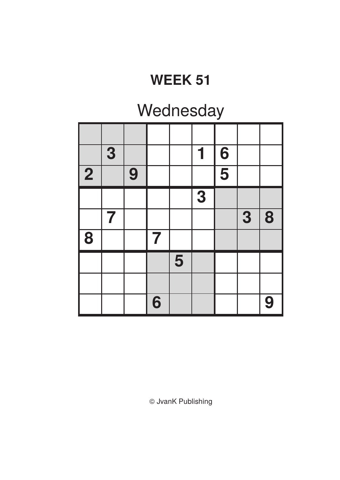## Wednesday

|            | 3 |   |   |   | 1 | 6                                    |   |   |
|------------|---|---|---|---|---|--------------------------------------|---|---|
| $\sqrt{2}$ |   | 9 |   |   |   | $\overline{\overline{\overline{5}}}$ |   |   |
|            |   |   |   |   | 3 |                                      |   |   |
|            | 7 |   |   |   |   |                                      | 3 | 8 |
| $\bar{8}$  |   |   | 7 |   |   |                                      |   |   |
|            |   |   |   | 5 |   |                                      |   |   |
|            |   |   |   |   |   |                                      |   |   |
|            |   |   | 6 |   |   |                                      |   | 9 |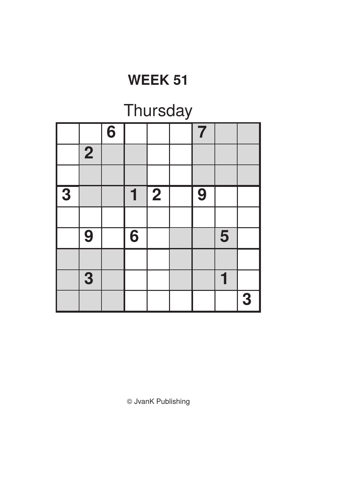# **Thursday**

|   |                | $\overline{6}$ |   |                | 7 |   |   |
|---|----------------|----------------|---|----------------|---|---|---|
|   | $\overline{2}$ |                |   |                |   |   |   |
|   |                |                |   |                |   |   |   |
| 3 |                |                | 1 | $\overline{2}$ | 9 |   |   |
|   |                |                |   |                |   |   |   |
|   | 9              |                | 6 |                |   | 5 |   |
|   |                |                |   |                |   |   |   |
|   | 3              |                |   |                |   |   |   |
|   |                |                |   |                |   |   | 3 |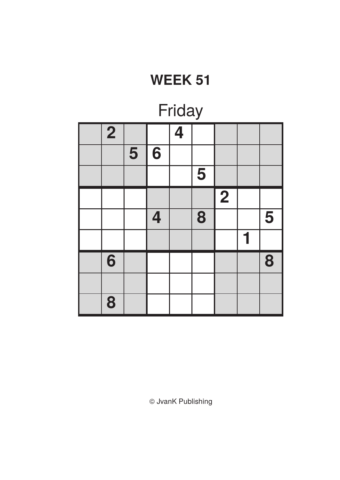| Friday |                |   |   |                         |   |                |  |   |  |
|--------|----------------|---|---|-------------------------|---|----------------|--|---|--|
|        | $\overline{2}$ |   |   | $\overline{\mathbf{4}}$ |   |                |  |   |  |
|        |                | 5 | 6 |                         |   |                |  |   |  |
|        |                |   |   |                         | 5 |                |  |   |  |
|        |                |   |   |                         |   | $\overline{2}$ |  |   |  |
|        |                |   | 4 |                         | 8 |                |  | 5 |  |
|        |                |   |   |                         |   |                |  |   |  |
|        | 6              |   |   |                         |   |                |  | 8 |  |
|        |                |   |   |                         |   |                |  |   |  |
|        | 8              |   |   |                         |   |                |  |   |  |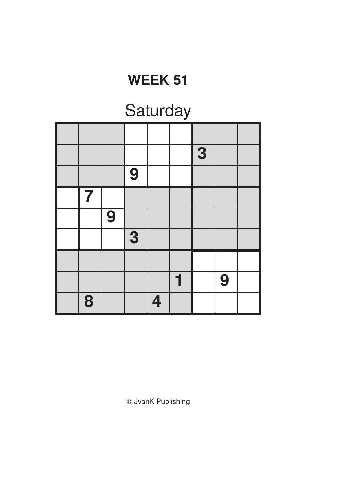# **Saturday**

|   |   |   |                         | 3 |   |  |
|---|---|---|-------------------------|---|---|--|
|   |   | 9 |                         |   |   |  |
| 7 |   |   |                         |   |   |  |
|   | 9 |   |                         |   |   |  |
|   |   | 3 |                         |   |   |  |
|   |   |   |                         |   |   |  |
|   |   |   |                         |   | 9 |  |
| 8 |   |   | $\overline{\mathbf{4}}$ |   |   |  |